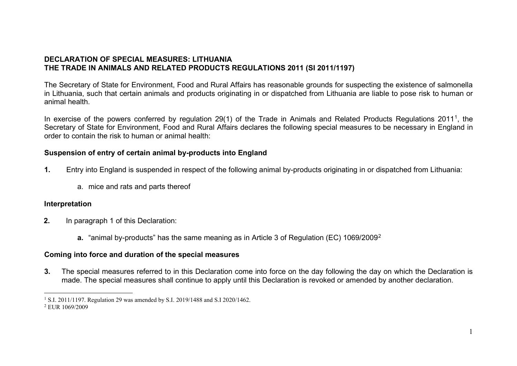## <span id="page-0-1"></span><span id="page-0-0"></span>**DECLARATION OF SPECIAL MEASURES: LITHUANIA THE TRADE IN ANIMALS AND RELATED PRODUCTS REGULATIONS 2011 (SI 2011/1197)**

The Secretary of State for Environment, Food and Rural Affairs has reasonable grounds for suspecting the existence of salmonella in Lithuania, such that certain animals and products originating in or dispatched from Lithuania are liable to pose risk to human or animal health.

In exercise of the powers conferred by regulation 29(1) of the Trade in Animals and Related Products Regulations 2011<sup>1</sup>, the Secretary of State for Environment, Food and Rural Affairs declares the following special measures to be necessary in England in order to contain the risk to human or animal health:

## **Suspension of entry of certain animal by-products into England**

- **1.** Entry into England is suspended in respect of the following animal by-products originating in or dispatched from Lithuania:
	- a. mice and rats and parts thereof

## **Interpretation**

- **2.** In paragraph 1 of this Declaration:
	- **a.** "animal by-products" has the same meaning as in Article 3 of Regulation (EC) 1069/2009[2](#page-0-1)

## **Coming into force and duration of the special measures**

**3.** The special measures referred to in this Declaration come into force on the day following the day on which the Declaration is made. The special measures shall continue to apply until this Declaration is revoked or amended by another declaration.

<sup>&</sup>lt;sup>1</sup> S.I. 2011/1197. Regulation 29 was amended by S.I. 2019/1488 and S.I 2020/1462.

<sup>2</sup> EUR 1069/2009